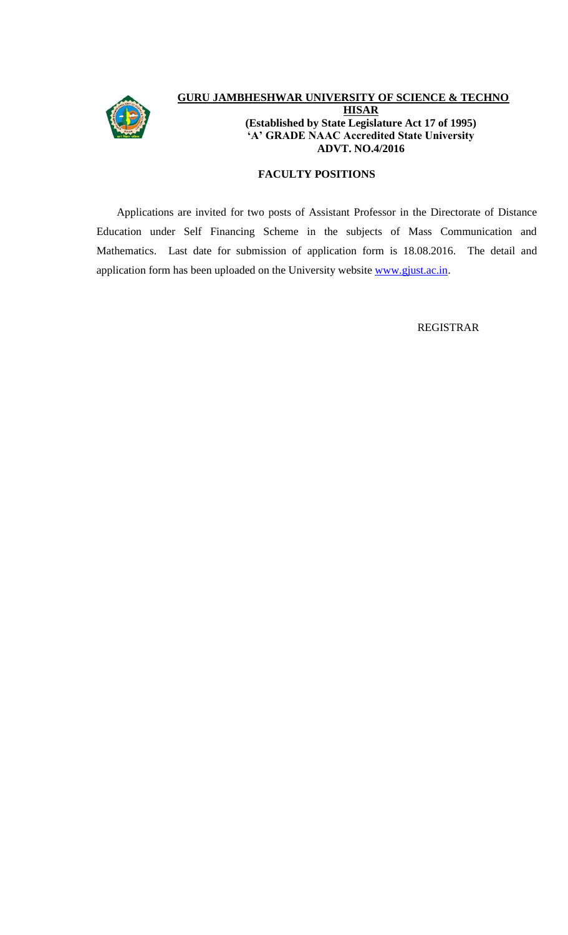

# **GURU JAMBHESHWAR UNIVERSITY OF SCIENCE & TECHNOLOGY HISAR (Established by State Legislature Act 17 of 1995) 'A' GRADE NAAC Accredited State University ADVT. NO.4/2016**

### **FACULTY POSITIONS**

Applications are invited for two posts of Assistant Professor in the Directorate of Distance Education under Self Financing Scheme in the subjects of Mass Communication and Mathematics. Last date for submission of application form is 18.08.2016. The detail and application form has been uploaded on the University website [www.gjust.ac.in.](http://www.gjust.ac.in/)

REGISTRAR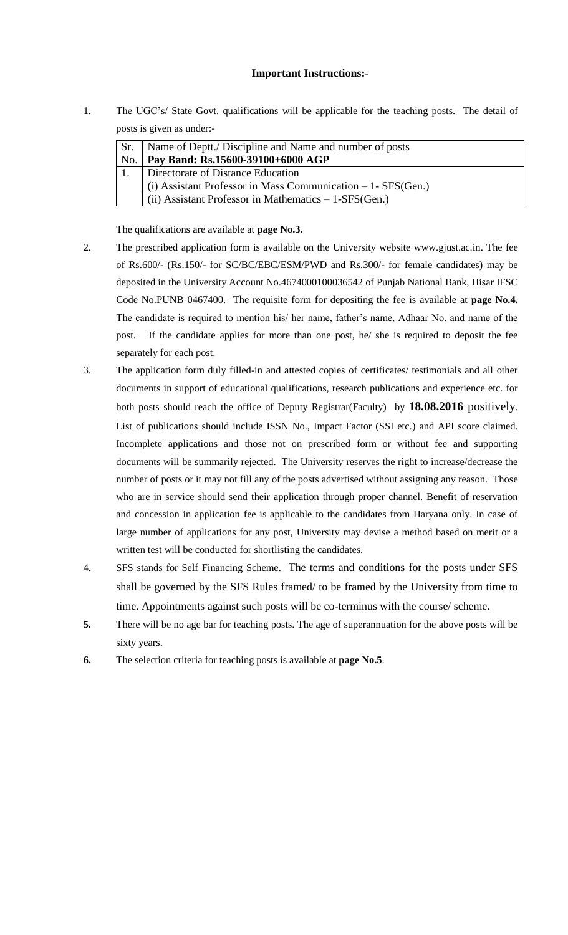#### **Important Instructions:-**

1. The UGC's/ State Govt. qualifications will be applicable for the teaching posts. The detail of posts is given as under:-

| Sr. | Name of Deptt./ Discipline and Name and number of posts        |
|-----|----------------------------------------------------------------|
|     | No.   Pay Band: Rs.15600-39100+6000 AGP                        |
|     | Directorate of Distance Education                              |
|     | (i) Assistant Professor in Mass Communication $-1$ - SFS(Gen.) |
|     | (ii) Assistant Professor in Mathematics $-1$ -SFS(Gen.)        |
|     |                                                                |

The qualifications are available at **page No.3.**

- 2. The prescribed application form is available on the University website www.gjust.ac.in. The fee of Rs.600/- (Rs.150/- for SC/BC/EBC/ESM/PWD and Rs.300/- for female candidates) may be deposited in the University Account No.4674000100036542 of Punjab National Bank, Hisar IFSC Code No.PUNB 0467400. The requisite form for depositing the fee is available at **page No.4.** The candidate is required to mention his/ her name, father's name, Adhaar No. and name of the post. If the candidate applies for more than one post, he/ she is required to deposit the fee separately for each post.
- 3. The application form duly filled-in and attested copies of certificates/ testimonials and all other documents in support of educational qualifications, research publications and experience etc. for both posts should reach the office of Deputy Registrar(Faculty) by **18.08.2016** positively. List of publications should include ISSN No., Impact Factor (SSI etc.) and API score claimed. Incomplete applications and those not on prescribed form or without fee and supporting documents will be summarily rejected. The University reserves the right to increase/decrease the number of posts or it may not fill any of the posts advertised without assigning any reason. Those who are in service should send their application through proper channel. Benefit of reservation and concession in application fee is applicable to the candidates from Haryana only. In case of large number of applications for any post, University may devise a method based on merit or a written test will be conducted for shortlisting the candidates.
- 4. SFS stands for Self Financing Scheme. The terms and conditions for the posts under SFS shall be governed by the SFS Rules framed/ to be framed by the University from time to time. Appointments against such posts will be co-terminus with the course/ scheme.
- **5.** There will be no age bar for teaching posts. The age of superannuation for the above posts will be sixty years.
- **6.** The selection criteria for teaching posts is available at **page No.5**.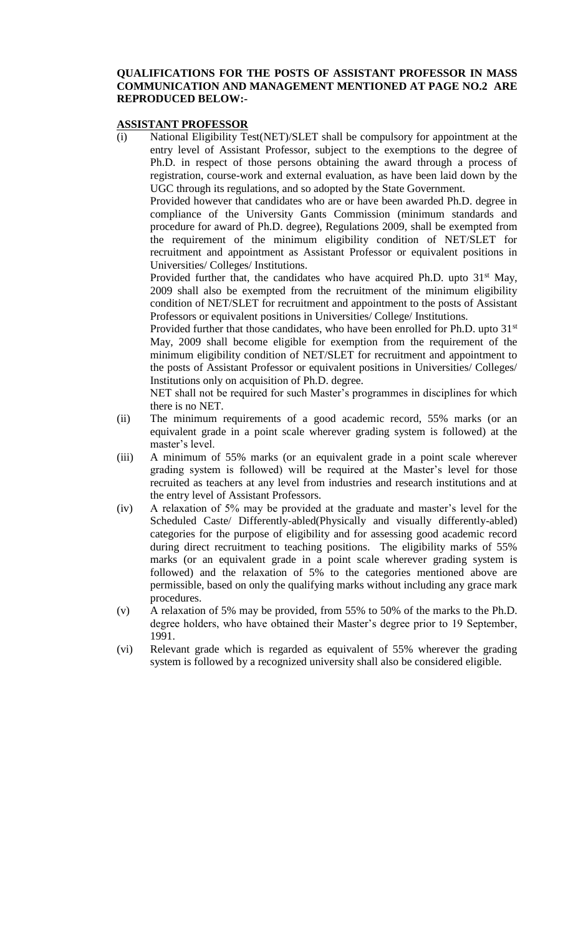# **QUALIFICATIONS FOR THE POSTS OF ASSISTANT PROFESSOR IN MASS COMMUNICATION AND MANAGEMENT MENTIONED AT PAGE NO.2 ARE REPRODUCED BELOW:-**

#### **ASSISTANT PROFESSOR**

(i) National Eligibility Test(NET)/SLET shall be compulsory for appointment at the entry level of Assistant Professor, subject to the exemptions to the degree of Ph.D. in respect of those persons obtaining the award through a process of registration, course-work and external evaluation, as have been laid down by the UGC through its regulations, and so adopted by the State Government.

Provided however that candidates who are or have been awarded Ph.D. degree in compliance of the University Gants Commission (minimum standards and procedure for award of Ph.D. degree), Regulations 2009, shall be exempted from the requirement of the minimum eligibility condition of NET/SLET for recruitment and appointment as Assistant Professor or equivalent positions in Universities/ Colleges/ Institutions.

Provided further that, the candidates who have acquired Ph.D. upto  $31<sup>st</sup>$  May, 2009 shall also be exempted from the recruitment of the minimum eligibility condition of NET/SLET for recruitment and appointment to the posts of Assistant Professors or equivalent positions in Universities/ College/ Institutions.

Provided further that those candidates, who have been enrolled for Ph.D. upto 31<sup>st</sup> May, 2009 shall become eligible for exemption from the requirement of the minimum eligibility condition of NET/SLET for recruitment and appointment to the posts of Assistant Professor or equivalent positions in Universities/ Colleges/ Institutions only on acquisition of Ph.D. degree.

NET shall not be required for such Master's programmes in disciplines for which there is no NET.

- (ii) The minimum requirements of a good academic record, 55% marks (or an equivalent grade in a point scale wherever grading system is followed) at the master's level.
- (iii) A minimum of 55% marks (or an equivalent grade in a point scale wherever grading system is followed) will be required at the Master's level for those recruited as teachers at any level from industries and research institutions and at the entry level of Assistant Professors.
- (iv) A relaxation of 5% may be provided at the graduate and master's level for the Scheduled Caste/ Differently-abled(Physically and visually differently-abled) categories for the purpose of eligibility and for assessing good academic record during direct recruitment to teaching positions. The eligibility marks of 55% marks (or an equivalent grade in a point scale wherever grading system is followed) and the relaxation of 5% to the categories mentioned above are permissible, based on only the qualifying marks without including any grace mark procedures.
- (v) A relaxation of 5% may be provided, from 55% to 50% of the marks to the Ph.D. degree holders, who have obtained their Master's degree prior to 19 September, 1991.
- (vi) Relevant grade which is regarded as equivalent of 55% wherever the grading system is followed by a recognized university shall also be considered eligible.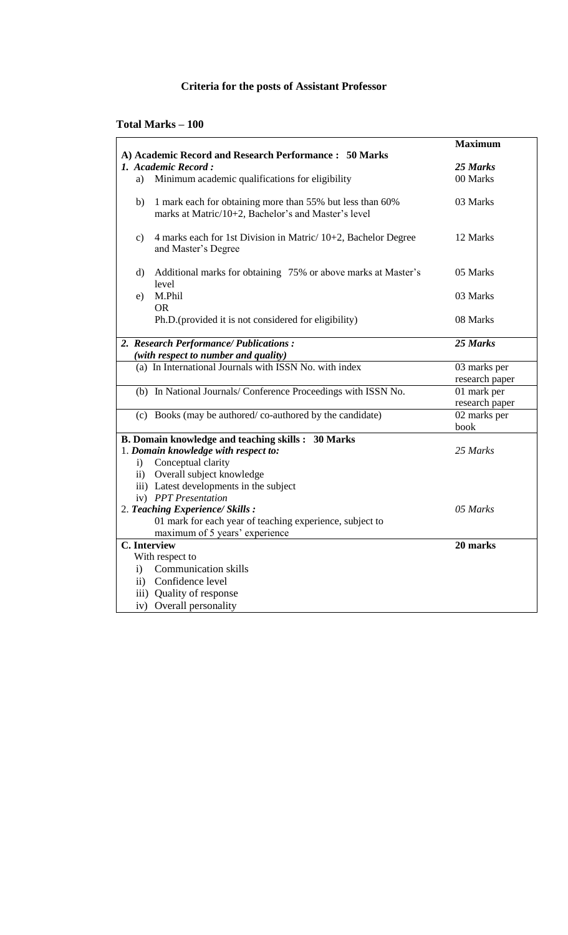# **Criteria for the posts of Assistant Professor**

**Total Marks – 100** 

|                                                                                                                        | <b>Maximum</b> |
|------------------------------------------------------------------------------------------------------------------------|----------------|
| A) Academic Record and Research Performance: 50 Marks                                                                  |                |
| 1. Academic Record:                                                                                                    | 25 Marks       |
| Minimum academic qualifications for eligibility<br>a)                                                                  | 00 Marks       |
| 1 mark each for obtaining more than 55% but less than 60%<br>b)<br>marks at Matric/10+2, Bachelor's and Master's level | 03 Marks       |
| 4 marks each for 1st Division in Matric/ 10+2, Bachelor Degree<br>$\mathbf{c})$<br>and Master's Degree                 | 12 Marks       |
| Additional marks for obtaining 75% or above marks at Master's<br>$\rm d)$<br>level                                     | 05 Marks       |
| M.Phil<br>e)<br><b>OR</b>                                                                                              | 03 Marks       |
| Ph.D.(provided it is not considered for eligibility)                                                                   | 08 Marks       |
| 2. Research Performance/Publications:                                                                                  | 25 Marks       |
| (with respect to number and quality)                                                                                   |                |
| (a) In International Journals with ISSN No. with index                                                                 | 03 marks per   |
|                                                                                                                        | research paper |
| (b) In National Journals/ Conference Proceedings with ISSN No.                                                         | 01 mark per    |
|                                                                                                                        | research paper |
| (c) Books (may be authored/co-authored by the candidate)                                                               | 02 marks per   |
|                                                                                                                        | book           |
| <b>B. Domain knowledge and teaching skills : 30 Marks</b>                                                              |                |
| 1. Domain knowledge with respect to:                                                                                   | 25 Marks       |
| Conceptual clarity<br>$\mathbf{i}$                                                                                     |                |
| ii) Overall subject knowledge                                                                                          |                |
| iii) Latest developments in the subject                                                                                |                |
| iv) PPT Presentation                                                                                                   |                |
| 2. Teaching Experience/ Skills:                                                                                        | 05 Marks       |
| 01 mark for each year of teaching experience, subject to                                                               |                |
| maximum of 5 years' experience                                                                                         |                |
| <b>C.</b> Interview                                                                                                    | 20 marks       |
| With respect to<br><b>Communication skills</b>                                                                         |                |
| $\mathbf{i}$                                                                                                           |                |
| ii) Confidence level                                                                                                   |                |
| iii) Quality of response                                                                                               |                |
| iv) Overall personality                                                                                                |                |